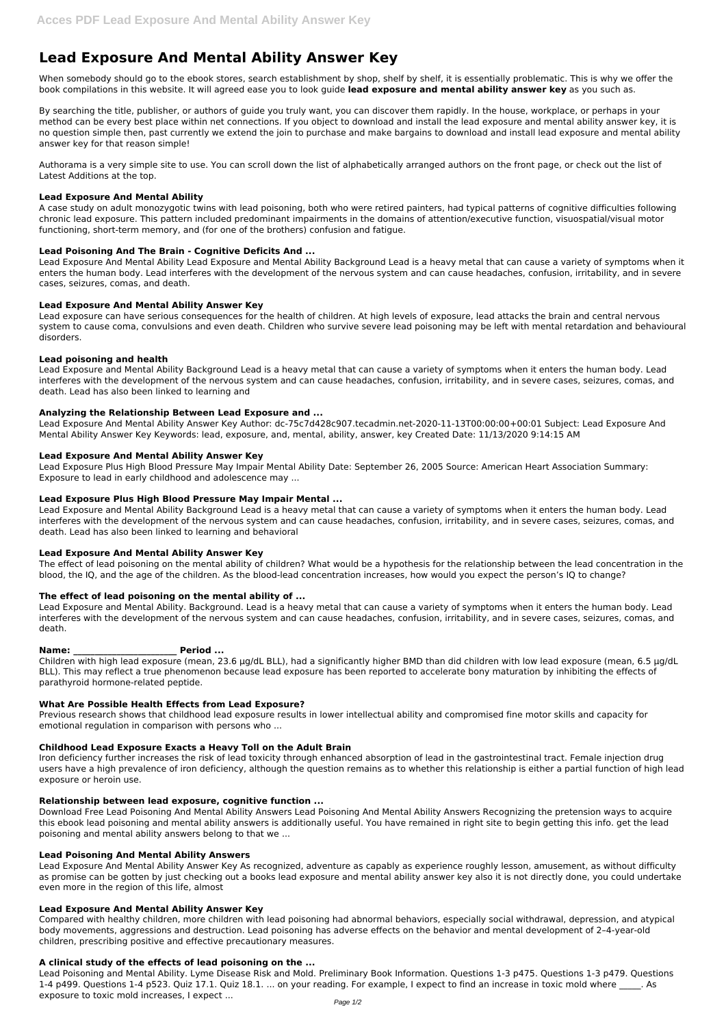# **Lead Exposure And Mental Ability Answer Key**

When somebody should go to the ebook stores, search establishment by shop, shelf by shelf, it is essentially problematic. This is why we offer the book compilations in this website. It will agreed ease you to look guide **lead exposure and mental ability answer key** as you such as.

By searching the title, publisher, or authors of guide you truly want, you can discover them rapidly. In the house, workplace, or perhaps in your method can be every best place within net connections. If you object to download and install the lead exposure and mental ability answer key, it is no question simple then, past currently we extend the join to purchase and make bargains to download and install lead exposure and mental ability answer key for that reason simple!

Lead Exposure And Mental Ability Lead Exposure and Mental Ability Background Lead is a heavy metal that can cause a variety of symptoms when it enters the human body. Lead interferes with the development of the nervous system and can cause headaches, confusion, irritability, and in severe cases, seizures, comas, and death.

Authorama is a very simple site to use. You can scroll down the list of alphabetically arranged authors on the front page, or check out the list of Latest Additions at the top.

### **Lead Exposure And Mental Ability**

A case study on adult monozygotic twins with lead poisoning, both who were retired painters, had typical patterns of cognitive difficulties following chronic lead exposure. This pattern included predominant impairments in the domains of attention/executive function, visuospatial/visual motor functioning, short-term memory, and (for one of the brothers) confusion and fatigue.

## **Lead Poisoning And The Brain - Cognitive Deficits And ...**

### **Lead Exposure And Mental Ability Answer Key**

Lead exposure can have serious consequences for the health of children. At high levels of exposure, lead attacks the brain and central nervous system to cause coma, convulsions and even death. Children who survive severe lead poisoning may be left with mental retardation and behavioural disorders.

### **Lead poisoning and health**

Lead Exposure and Mental Ability Background Lead is a heavy metal that can cause a variety of symptoms when it enters the human body. Lead interferes with the development of the nervous system and can cause headaches, confusion, irritability, and in severe cases, seizures, comas, and death. Lead has also been linked to learning and

### **Analyzing the Relationship Between Lead Exposure and ...**

Lead Exposure And Mental Ability Answer Key Author: dc-75c7d428c907.tecadmin.net-2020-11-13T00:00:00+00:01 Subject: Lead Exposure And Mental Ability Answer Key Keywords: lead, exposure, and, mental, ability, answer, key Created Date: 11/13/2020 9:14:15 AM

### **Lead Exposure And Mental Ability Answer Key**

Lead Exposure Plus High Blood Pressure May Impair Mental Ability Date: September 26, 2005 Source: American Heart Association Summary: Exposure to lead in early childhood and adolescence may ...

### **Lead Exposure Plus High Blood Pressure May Impair Mental ...**

Lead Exposure and Mental Ability Background Lead is a heavy metal that can cause a variety of symptoms when it enters the human body. Lead interferes with the development of the nervous system and can cause headaches, confusion, irritability, and in severe cases, seizures, comas, and death. Lead has also been linked to learning and behavioral

### **Lead Exposure And Mental Ability Answer Key**

The effect of lead poisoning on the mental ability of children? What would be a hypothesis for the relationship between the lead concentration in the blood, the IQ, and the age of the children. As the blood-lead concentration increases, how would you expect the person's IQ to change?

# **The effect of lead poisoning on the mental ability of ...**

Lead Exposure and Mental Ability. Background. Lead is a heavy metal that can cause a variety of symptoms when it enters the human body. Lead interferes with the development of the nervous system and can cause headaches, confusion, irritability, and in severe cases, seizures, comas, and death.

### **Name: \_\_\_\_\_\_\_\_\_\_\_\_\_\_\_\_\_\_\_\_\_\_\_\_ Period ...**

Children with high lead exposure (mean, 23.6 μg/dL BLL), had a significantly higher BMD than did children with low lead exposure (mean, 6.5 μg/dL BLL). This may reflect a true phenomenon because lead exposure has been reported to accelerate bony maturation by inhibiting the effects of parathyroid hormone-related peptide.

### **What Are Possible Health Effects from Lead Exposure?**

Previous research shows that childhood lead exposure results in lower intellectual ability and compromised fine motor skills and capacity for emotional regulation in comparison with persons who ...

# **Childhood Lead Exposure Exacts a Heavy Toll on the Adult Brain**

Iron deficiency further increases the risk of lead toxicity through enhanced absorption of lead in the gastrointestinal tract. Female injection drug users have a high prevalence of iron deficiency, although the question remains as to whether this relationship is either a partial function of high lead

exposure or heroin use.

#### **Relationship between lead exposure, cognitive function ...**

Download Free Lead Poisoning And Mental Ability Answers Lead Poisoning And Mental Ability Answers Recognizing the pretension ways to acquire this ebook lead poisoning and mental ability answers is additionally useful. You have remained in right site to begin getting this info. get the lead poisoning and mental ability answers belong to that we ...

#### **Lead Poisoning And Mental Ability Answers**

Lead Exposure And Mental Ability Answer Key As recognized, adventure as capably as experience roughly lesson, amusement, as without difficulty as promise can be gotten by just checking out a books lead exposure and mental ability answer key also it is not directly done, you could undertake even more in the region of this life, almost

#### **Lead Exposure And Mental Ability Answer Key**

Compared with healthy children, more children with lead poisoning had abnormal behaviors, especially social withdrawal, depression, and atypical body movements, aggressions and destruction. Lead poisoning has adverse effects on the behavior and mental development of 2–4-year-old children, prescribing positive and effective precautionary measures.

#### **A clinical study of the effects of lead poisoning on the ...**

Lead Poisoning and Mental Ability. Lyme Disease Risk and Mold. Preliminary Book Information. Questions 1-3 p475. Questions 1-3 p479. Questions 1-4 p499. Questions 1-4 p523. Quiz 17.1. Quiz 18.1. ... on your reading. For example, I expect to find an increase in toxic mold where . As exposure to toxic mold increases, I expect ...